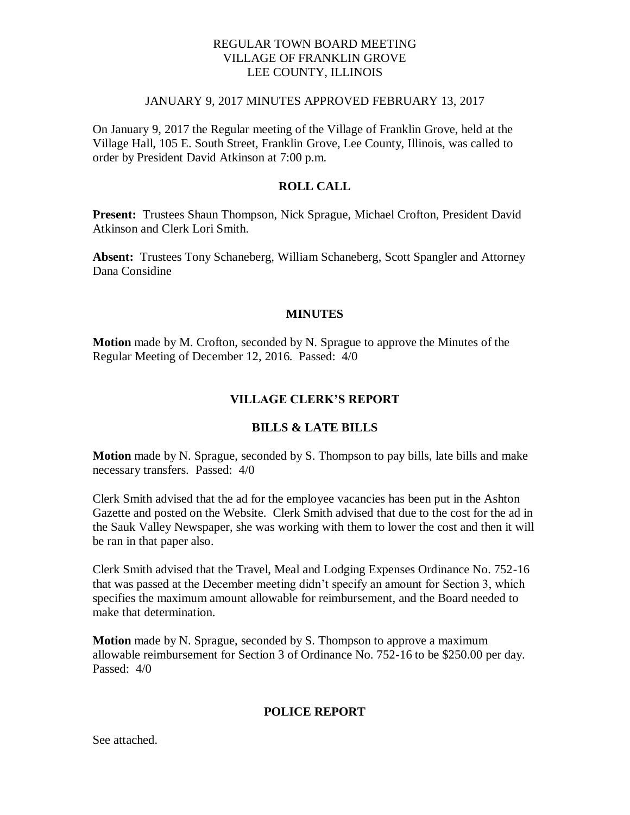## REGULAR TOWN BOARD MEETING VILLAGE OF FRANKLIN GROVE LEE COUNTY, ILLINOIS

#### JANUARY 9, 2017 MINUTES APPROVED FEBRUARY 13, 2017

On January 9, 2017 the Regular meeting of the Village of Franklin Grove, held at the Village Hall, 105 E. South Street, Franklin Grove, Lee County, Illinois, was called to order by President David Atkinson at 7:00 p.m.

## **ROLL CALL**

**Present:** Trustees Shaun Thompson, Nick Sprague, Michael Crofton, President David Atkinson and Clerk Lori Smith.

**Absent:** Trustees Tony Schaneberg, William Schaneberg, Scott Spangler and Attorney Dana Considine

## **MINUTES**

**Motion** made by M. Crofton, seconded by N. Sprague to approve the Minutes of the Regular Meeting of December 12, 2016. Passed: 4/0

## **VILLAGE CLERK'S REPORT**

## **BILLS & LATE BILLS**

**Motion** made by N. Sprague, seconded by S. Thompson to pay bills, late bills and make necessary transfers. Passed: 4/0

Clerk Smith advised that the ad for the employee vacancies has been put in the Ashton Gazette and posted on the Website. Clerk Smith advised that due to the cost for the ad in the Sauk Valley Newspaper, she was working with them to lower the cost and then it will be ran in that paper also.

Clerk Smith advised that the Travel, Meal and Lodging Expenses Ordinance No. 752-16 that was passed at the December meeting didn't specify an amount for Section 3, which specifies the maximum amount allowable for reimbursement, and the Board needed to make that determination.

**Motion** made by N. Sprague, seconded by S. Thompson to approve a maximum allowable reimbursement for Section 3 of Ordinance No. 752-16 to be \$250.00 per day. Passed: 4/0

## **POLICE REPORT**

See attached.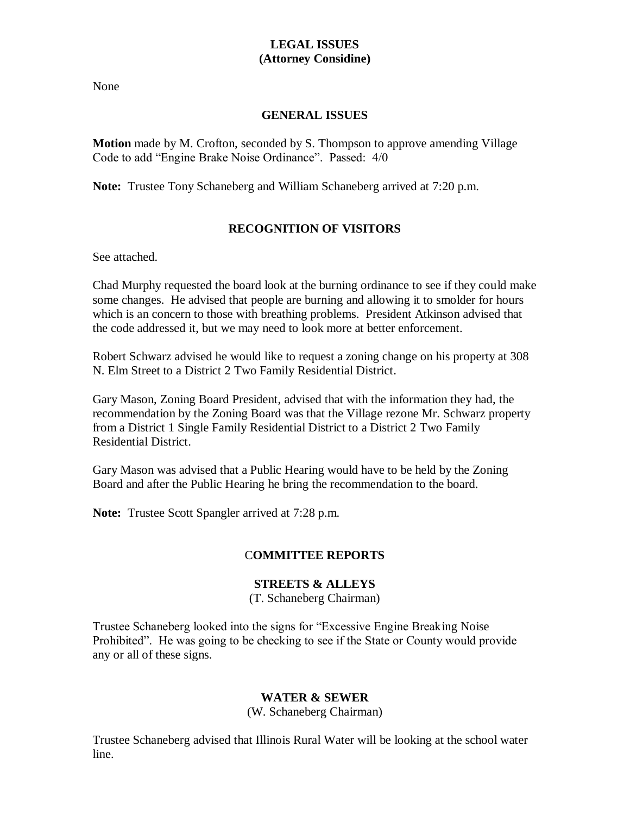# **LEGAL ISSUES (Attorney Considine)**

None

## **GENERAL ISSUES**

**Motion** made by M. Crofton, seconded by S. Thompson to approve amending Village Code to add "Engine Brake Noise Ordinance". Passed: 4/0

**Note:** Trustee Tony Schaneberg and William Schaneberg arrived at 7:20 p.m.

# **RECOGNITION OF VISITORS**

See attached.

Chad Murphy requested the board look at the burning ordinance to see if they could make some changes. He advised that people are burning and allowing it to smolder for hours which is an concern to those with breathing problems. President Atkinson advised that the code addressed it, but we may need to look more at better enforcement.

Robert Schwarz advised he would like to request a zoning change on his property at 308 N. Elm Street to a District 2 Two Family Residential District.

Gary Mason, Zoning Board President, advised that with the information they had, the recommendation by the Zoning Board was that the Village rezone Mr. Schwarz property from a District 1 Single Family Residential District to a District 2 Two Family Residential District.

Gary Mason was advised that a Public Hearing would have to be held by the Zoning Board and after the Public Hearing he bring the recommendation to the board.

**Note:** Trustee Scott Spangler arrived at 7:28 p.m.

# C**OMMITTEE REPORTS**

# **STREETS & ALLEYS**

(T. Schaneberg Chairman)

Trustee Schaneberg looked into the signs for "Excessive Engine Breaking Noise Prohibited". He was going to be checking to see if the State or County would provide any or all of these signs.

# **WATER & SEWER**

(W. Schaneberg Chairman)

Trustee Schaneberg advised that Illinois Rural Water will be looking at the school water line.